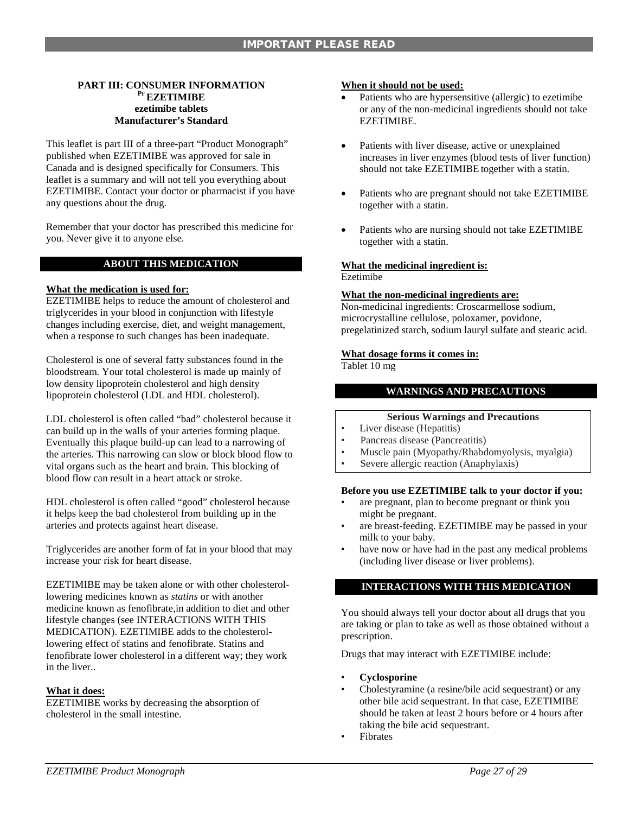# **PART III: CONSUMER INFORMATION Pr EZETIMIBE ezetimibe tablets Manufacturer's Standard**

This leaflet is part III of a three-part "Product Monograph" published when EZETIMIBE was approved for sale in Canada and is designed specifically for Consumers. This leaflet is a summary and will not tell you everything about EZETIMIBE. Contact your doctor or pharmacist if you have any questions about the drug.

Remember that your doctor has prescribed this medicine for you. Never give it to anyone else.

# **ABOUT THIS MEDICATION**

# **What the medication is used for:**

EZETIMIBE helps to reduce the amount of cholesterol and triglycerides in your blood in conjunction with lifestyle changes including exercise, diet, and weight management, when a response to such changes has been inadequate.

Cholesterol is one of several fatty substances found in the bloodstream. Your total cholesterol is made up mainly of low density lipoprotein cholesterol and high density lipoprotein cholesterol (LDL and HDL cholesterol).

LDL cholesterol is often called "bad" cholesterol because it can build up in the walls of your arteries forming plaque. Eventually this plaque build-up can lead to a narrowing of the arteries. This narrowing can slow or block blood flow to vital organs such as the heart and brain. This blocking of blood flow can result in a heart attack or stroke.

HDL cholesterol is often called "good" cholesterol because it helps keep the bad cholesterol from building up in the arteries and protects against heart disease.

Triglycerides are another form of fat in your blood that may increase your risk for heart disease.

EZETIMIBE may be taken alone or with other cholesterollowering medicines known as *statins* or with another medicine known as fenofibrate,in addition to diet and other lifestyle changes (see INTERACTIONS WITH THIS MEDICATION). EZETIMIBE adds to the cholesterollowering effect of statins and fenofibrate. Statins and fenofibrate lower cholesterol in a different way; they work in the liver..

# **What it does:**

EZETIMIBE works by decreasing the absorption of cholesterol in the small intestine.

### **When it should not be used:**

- Patients who are hypersensitive (allergic) to ezetimibe or any of the non-medicinal ingredients should not take EZETIMIBE.
- Patients with liver disease, active or unexplained increases in liver enzymes (blood tests of liver function) should not take EZETIMIBE together with a statin.
- Patients who are pregnant should not take EZETIMIBE together with a statin.
- Patients who are nursing should not take EZETIMIBE together with a statin.

# **What the medicinal ingredient is:**

Ezetimibe

# **What the non-medicinal ingredients are:**

Non-medicinal ingredients: Croscarmellose sodium, microcrystalline cellulose, poloxamer, povidone, pregelatinized starch, sodium lauryl sulfate and stearic acid.

#### **What dosage forms it comes in:**

Tablet 10 mg

# **WARNINGS AND PRECAUTIONS**

# **Serious Warnings and Precautions**

- Liver disease (Hepatitis)
- Pancreas disease (Pancreatitis)
- Muscle pain (Myopathy/Rhabdomyolysis, myalgia)
- Severe allergic reaction (Anaphylaxis)

#### **Before you use EZETIMIBE talk to your doctor if you:**

- are pregnant, plan to become pregnant or think you might be pregnant.
- are breast-feeding. EZETIMIBE may be passed in your milk to your baby.
- have now or have had in the past any medical problems (including liver disease or liver problems).

# **INTERACTIONS WITH THIS MEDICATION**

You should always tell your doctor about all drugs that you are taking or plan to take as well as those obtained without a prescription.

Drugs that may interact with EZETIMIBE include:

- **Cyclosporine**
- Cholestyramine (a resine/bile acid sequestrant) or any other bile acid sequestrant. In that case, EZETIMIBE should be taken at least 2 hours before or 4 hours after taking the bile acid sequestrant.
- **Fibrates**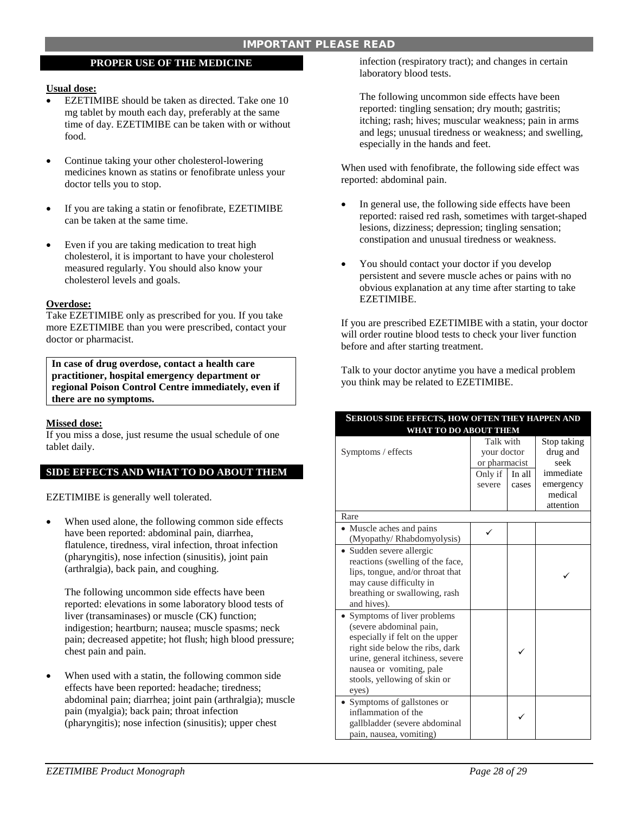# IMPORTANT PLEASE READ

# **PROPER USE OF THE MEDICINE**

#### **Usual dose:**

- EZETIMIBE should be taken as directed. Take one 10 mg tablet by mouth each day, preferably at the same time of day. EZETIMIBE can be taken with or without food.
- Continue taking your other cholesterol-lowering medicines known as statins or fenofibrate unless your doctor tells you to stop.
- If you are taking a statin or fenofibrate, EZETIMIBE can be taken at the same time.
- Even if you are taking medication to treat high cholesterol, it is important to have your cholesterol measured regularly. You should also know your cholesterol levels and goals.

#### **Overdose:**

Take EZETIMIBE only as prescribed for you. If you take more EZETIMIBE than you were prescribed, contact your doctor or pharmacist.

**In case of drug overdose, contact a health care practitioner, hospital emergency department or regional Poison Control Centre immediately, even if there are no symptoms.**

### **Missed dose:**

If you miss a dose, just resume the usual schedule of one tablet daily.

# **SIDE EFFECTS AND WHAT TO DO ABOUT THEM**

EZETIMIBE is generally well tolerated.

• When used alone, the following common side effects have been reported: abdominal pain, diarrhea, flatulence, tiredness, viral infection, throat infection (pharyngitis), nose infection (sinusitis), joint pain (arthralgia), back pain, and coughing.

The following uncommon side effects have been reported: elevations in some laboratory blood tests of liver (transaminases) or muscle (CK) function; indigestion; heartburn; nausea; muscle spasms; neck pain; decreased appetite; hot flush; high blood pressure; chest pain and pain.

When used with a statin, the following common side effects have been reported: headache; tiredness; abdominal pain; diarrhea; joint pain (arthralgia); muscle pain (myalgia); back pain; throat infection (pharyngitis); nose infection (sinusitis); upper chest

infection (respiratory tract); and changes in certain laboratory blood tests.

The following uncommon side effects have been reported: tingling sensation; dry mouth; gastritis; itching; rash; hives; muscular weakness; pain in arms and legs; unusual tiredness or weakness; and swelling, especially in the hands and feet.

When used with fenofibrate, the following side effect was reported: abdominal pain.

- In general use, the following side effects have been reported: raised red rash, sometimes with target-shaped lesions, dizziness; depression; tingling sensation; constipation and unusual tiredness or weakness.
- You should contact your doctor if you develop persistent and severe muscle aches or pains with no obvious explanation at any time after starting to take EZETIMIBE.

If you are prescribed EZETIMIBE with a statin, your doctor will order routine blood tests to check your liver function before and after starting treatment.

Talk to your doctor anytime you have a medical problem you think may be related to EZETIMIBE.

| <b>SERIOUS SIDE EFFECTS, HOW OFTEN THEY HAPPEN AND</b><br><b>WHAT TO DO ABOUT THEM</b>                                                                                                                                               |  |  |  |  |  |
|--------------------------------------------------------------------------------------------------------------------------------------------------------------------------------------------------------------------------------------|--|--|--|--|--|
|                                                                                                                                                                                                                                      |  |  |  |  |  |
| Rare                                                                                                                                                                                                                                 |  |  |  |  |  |
| • Muscle aches and pains<br>(Myopathy/Rhabdomyolysis)                                                                                                                                                                                |  |  |  |  |  |
| · Sudden severe allergic<br>reactions (swelling of the face,<br>lips, tongue, and/or throat that<br>may cause difficulty in<br>breathing or swallowing, rash<br>and hives).                                                          |  |  |  |  |  |
| Symptoms of liver problems<br>(severe abdominal pain,<br>especially if felt on the upper<br>right side below the ribs, dark<br>urine, general itchiness, severe<br>nausea or vomiting, pale<br>stools, yellowing of skin or<br>eyes) |  |  |  |  |  |
| • Symptoms of gallstones or<br>inflammation of the<br>gallbladder (severe abdominal<br>pain, nausea, vomiting)                                                                                                                       |  |  |  |  |  |